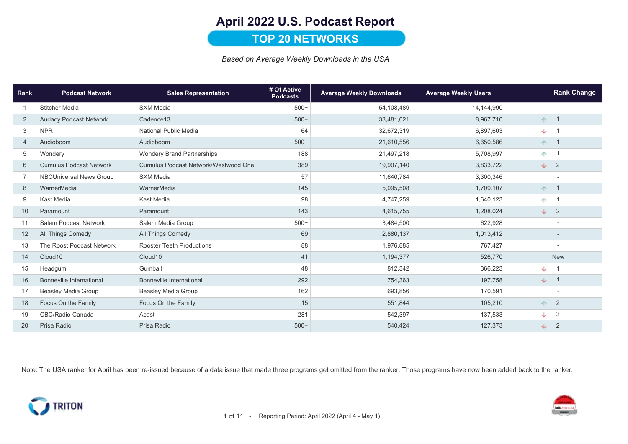#### **TOP 20 NETWORKS**

Based on Average Weekly Downloads in the USA

| <b>Rank</b>    | <b>Podcast Network</b>          | <b>Sales Representation</b>          | # Of Active<br><b>Podcasts</b> | <b>Average Weekly Downloads</b> | <b>Average Weekly Users</b> | <b>Rank Change</b>       |
|----------------|---------------------------------|--------------------------------------|--------------------------------|---------------------------------|-----------------------------|--------------------------|
|                | <b>Stitcher Media</b>           | <b>SXM Media</b>                     | $500+$                         | 54,108,489                      | 14,144,990                  | $\overline{\phantom{a}}$ |
| 2              | <b>Audacy Podcast Network</b>   | Cadence13                            | $500+$                         | 33,481,621                      | 8,967,710                   | 个                        |
| 3              | <b>NPR</b>                      | National Public Media                | 64                             | 32,672,319                      | 6,897,603                   | ↓                        |
| $\overline{4}$ | Audioboom                       | Audioboom                            | $500+$                         | 21,610,556                      | 6,650,586                   | 个                        |
| 5              | Wondery                         | <b>Wondery Brand Partnerships</b>    | 188                            | 21,497,218                      | 5,708,997                   | 木                        |
| 6              | <b>Cumulus Podcast Network</b>  | Cumulus Podcast Network/Westwood One | 389                            | 19,907,140                      | 3,833,722                   | 2<br>┶                   |
| $\overline{7}$ | <b>NBCUniversal News Group</b>  | <b>SXM Media</b>                     | 57                             | 11,640,784                      | 3,300,346                   |                          |
| 8              | WarnerMedia                     | WarnerMedia                          | 145                            | 5,095,508                       | 1,709,107                   | 个                        |
| 9              | Kast Media                      | Kast Media                           | 98                             | 4,747,259                       | 1,640,123                   | 不                        |
| 10             | Paramount                       | Paramount                            | 143                            | 4,615,755                       | 1,208,024                   | 2<br>sk.                 |
| 11             | Salem Podcast Network           | Salem Media Group                    | $500+$                         | 3,484,500                       | 622,928                     |                          |
| 12             | All Things Comedy               | All Things Comedy                    | 69                             | 2,880,137                       | 1,013,412                   |                          |
| 13             | The Roost Podcast Network       | <b>Rooster Teeth Productions</b>     | 88                             | 1,976,885                       | 767,427                     |                          |
| 14             | Cloud <sub>10</sub>             | Cloud <sub>10</sub>                  | 41                             | 1,194,377                       | 526,770                     | <b>New</b>               |
| 15             | Headgum                         | Gumball                              | 48                             | 812,342                         | 366,223                     | ┶                        |
| 16             | <b>Bonneville International</b> | <b>Bonneville International</b>      | 292                            | 754,363                         | 197,758                     | $\overline{1}$<br>↓      |
| 17             | <b>Beasley Media Group</b>      | <b>Beasley Media Group</b>           | 162                            | 693,856                         | 170,591                     |                          |
| 18             | Focus On the Family             | Focus On the Family                  | 15                             | 551,844                         | 105,210                     | 2<br>个                   |
| 19             | CBC/Radio-Canada                | Acast                                | 281                            | 542,397                         | 137,533                     | 3<br>J.                  |
| 20             | Prisa Radio                     | Prisa Radio                          | $500+$                         | 540,424                         | 127,373                     | $\overline{2}$<br>↓      |

Note: The USA ranker for April has been re-issued because of a data issue that made three programs get omitted from the ranker. Those programs have now been added back to the ranker.



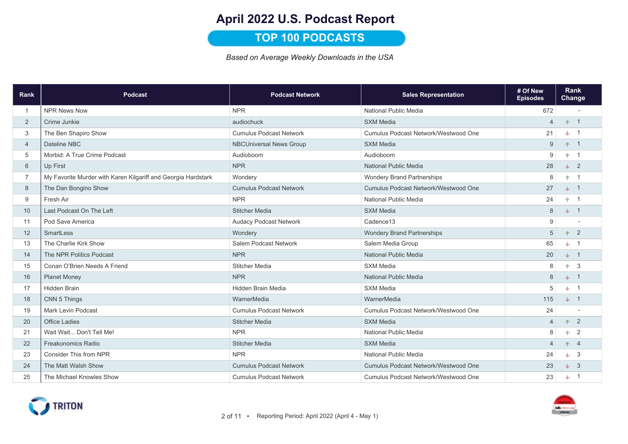### **TOP 100 PODCASTS**

| Rank           | <b>Podcast</b>                                                | <b>Podcast Network</b>         | <b>Sales Representation</b>          | # Of New<br><b>Episodes</b> | Rank<br><b>Change</b>          |
|----------------|---------------------------------------------------------------|--------------------------------|--------------------------------------|-----------------------------|--------------------------------|
|                | <b>NPR News Now</b>                                           | <b>NPR</b>                     | National Public Media                | 672                         | $\overline{\phantom{a}}$       |
| $\overline{2}$ | Crime Junkie                                                  | audiochuck                     | <b>SXM Media</b>                     | $\overline{4}$              | $+1$                           |
| 3              | The Ben Shapiro Show                                          | <b>Cumulus Podcast Network</b> | Cumulus Podcast Network/Westwood One | 21                          | $\downarrow$ 1                 |
| $\overline{4}$ | Dateline NBC                                                  | <b>NBCUniversal News Group</b> | <b>SXM Media</b>                     | $9\,$                       | $+1$                           |
| 5              | Morbid: A True Crime Podcast                                  | Audioboom                      | Audioboom                            | 9                           | $+1$                           |
| 6              | Up First                                                      | <b>NPR</b>                     | <b>National Public Media</b>         | 28                          | $\downarrow$ 2                 |
| $\overline{7}$ | My Favorite Murder with Karen Kilgariff and Georgia Hardstark | Wondery                        | <b>Wondery Brand Partnerships</b>    | 8                           | $+1$                           |
| 8              | The Dan Bongino Show                                          | <b>Cumulus Podcast Network</b> | Cumulus Podcast Network/Westwood One | 27                          | $\downarrow$ 1                 |
| 9              | Fresh Air                                                     | <b>NPR</b>                     | <b>National Public Media</b>         | 24                          | $+1$                           |
| 10             | Last Podcast On The Left                                      | <b>Stitcher Media</b>          | <b>SXM Media</b>                     | 8                           | $\downarrow$ 1                 |
| 11             | Pod Save America                                              | <b>Audacy Podcast Network</b>  | Cadence <sub>13</sub>                | $\boldsymbol{9}$            |                                |
| 12             | <b>SmartLess</b>                                              | Wondery                        | <b>Wondery Brand Partnerships</b>    | 5                           | $+2$                           |
| 13             | The Charlie Kirk Show                                         | <b>Salem Podcast Network</b>   | Salem Media Group                    | 65                          | $\downarrow$ 1                 |
| 14             | The NPR Politics Podcast                                      | <b>NPR</b>                     | National Public Media                | 20                          | $\downarrow$ 1                 |
| 15             | Conan O'Brien Needs A Friend                                  | <b>Stitcher Media</b>          | <b>SXM Media</b>                     | 8                           | $\overline{\mathbf{3}}$<br>不   |
| 16             | <b>Planet Money</b>                                           | <b>NPR</b>                     | National Public Media                | 8                           | $\downarrow$ 1                 |
| 17             | <b>Hidden Brain</b>                                           | Hidden Brain Media             | <b>SXM Media</b>                     | 5                           | $\downarrow$ 1                 |
| 18             | CNN 5 Things                                                  | WarnerMedia                    | WarnerMedia                          | 115                         | $\downarrow$ 1                 |
| 19             | <b>Mark Levin Podcast</b>                                     | <b>Cumulus Podcast Network</b> | Cumulus Podcast Network/Westwood One | 24                          |                                |
| 20             | <b>Office Ladies</b>                                          | <b>Stitcher Media</b>          | <b>SXM Media</b>                     | $\overline{4}$              | $\overline{2}$<br>不            |
| 21             | Wait Wait Don't Tell Me!                                      | <b>NPR</b>                     | <b>National Public Media</b>         | 8                           | 2<br>不                         |
| 22             | Freakonomics Radio                                            | <b>Stitcher Media</b>          | <b>SXM Media</b>                     | $\overline{4}$              | $\overline{4}$<br>不。           |
| 23             | <b>Consider This from NPR</b>                                 | <b>NPR</b>                     | <b>National Public Media</b>         | 24                          | $\overline{\mathbf{3}}$<br>sk. |
| 24             | The Matt Walsh Show                                           | <b>Cumulus Podcast Network</b> | Cumulus Podcast Network/Westwood One | 23                          | $\downarrow$ 3                 |
| 25             | The Michael Knowles Show                                      | <b>Cumulus Podcast Network</b> | Cumulus Podcast Network/Westwood One | 23                          | $\downarrow$ 1                 |



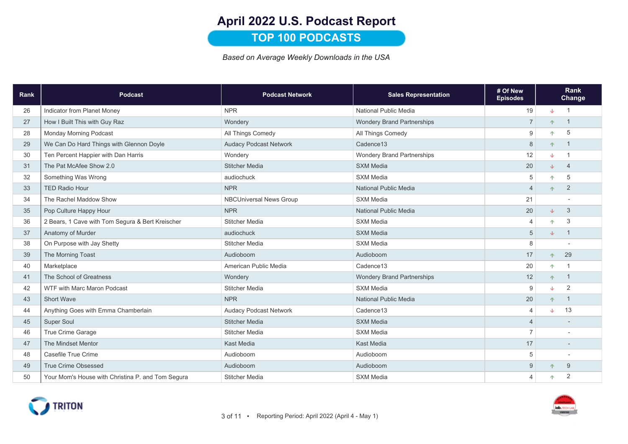#### TOP 100 PODCASTS

| Rank | <b>Podcast</b>                                    | <b>Podcast Network</b>         | <b>Sales Representation</b>       | # Of New<br><b>Episodes</b> |     | Rank<br>Change               |
|------|---------------------------------------------------|--------------------------------|-----------------------------------|-----------------------------|-----|------------------------------|
| 26   | Indicator from Planet Money                       | <b>NPR</b>                     | National Public Media             | 19                          | sk. | $\overline{1}$               |
| 27   | How I Built This with Guy Raz                     | Wondery                        | <b>Wondery Brand Partnerships</b> | $\overline{7}$              | 不   | $\overline{1}$               |
| 28   | Monday Morning Podcast                            | All Things Comedy              | All Things Comedy                 | 9                           | 个   | 5                            |
| 29   | We Can Do Hard Things with Glennon Doyle          | <b>Audacy Podcast Network</b>  | Cadence <sub>13</sub>             | $\,8\,$                     | 小   | $\overline{1}$               |
| 30   | Ten Percent Happier with Dan Harris               | Wondery                        | <b>Wondery Brand Partnerships</b> | 12                          | Φ   | $\overline{1}$               |
| 31   | The Pat McAfee Show 2.0                           | <b>Stitcher Media</b>          | <b>SXM Media</b>                  | 20                          | s.  | $\overline{4}$               |
| 32   | Something Was Wrong                               | audiochuck                     | <b>SXM Media</b>                  | 5                           | 不   | 5                            |
| 33   | <b>TED Radio Hour</b>                             | <b>NPR</b>                     | <b>National Public Media</b>      | $\overline{4}$              | 个   | $\overline{2}$               |
| 34   | The Rachel Maddow Show                            | <b>NBCUniversal News Group</b> | <b>SXM Media</b>                  | 21                          |     |                              |
| 35   | Pop Culture Happy Hour                            | <b>NPR</b>                     | <b>National Public Media</b>      | 20                          | sk. | 3                            |
| 36   | 2 Bears, 1 Cave with Tom Segura & Bert Kreischer  | Stitcher Media                 | <b>SXM Media</b>                  | $\overline{4}$              | 个   | 3                            |
| 37   | Anatomy of Murder                                 | audiochuck                     | <b>SXM Media</b>                  | $\sqrt{5}$                  | sk. | $\overline{1}$               |
| 38   | On Purpose with Jay Shetty                        | <b>Stitcher Media</b>          | <b>SXM Media</b>                  | $\,8\,$                     |     |                              |
| 39   | The Morning Toast                                 | Audioboom                      | Audioboom                         | 17                          | 个   | 29                           |
| 40   | Marketplace                                       | American Public Media          | Cadence <sub>13</sub>             | 20                          | 个   | -1                           |
| 41   | The School of Greatness                           | Wondery                        | <b>Wondery Brand Partnerships</b> | 12                          | 不   | $\overline{1}$               |
| 42   | <b>WTF with Marc Maron Podcast</b>                | <b>Stitcher Media</b>          | <b>SXM Media</b>                  | 9                           | Φ   | 2                            |
| 43   | <b>Short Wave</b>                                 | <b>NPR</b>                     | <b>National Public Media</b>      | 20                          | 个   | $\overline{1}$               |
| 44   | Anything Goes with Emma Chamberlain               | <b>Audacy Podcast Network</b>  | Cadence <sub>13</sub>             | $\overline{4}$              | s.  | 13                           |
| 45   | <b>Super Soul</b>                                 | <b>Stitcher Media</b>          | <b>SXM Media</b>                  | $\overline{4}$              |     |                              |
| 46   | True Crime Garage                                 | <b>Stitcher Media</b>          | <b>SXM Media</b>                  | $\overline{7}$              |     | $\overline{a}$               |
| 47   | The Mindset Mentor                                | <b>Kast Media</b>              | Kast Media                        | 17                          |     | $\qquad \qquad \blacksquare$ |
| 48   | Casefile True Crime                               | Audioboom                      | Audioboom                         | 5                           |     |                              |
| 49   | <b>True Crime Obsessed</b>                        | Audioboom                      | Audioboom                         | 9                           | 个   | 9                            |
| 50   | Your Mom's House with Christina P. and Tom Segura | <b>Stitcher Media</b>          | <b>SXM Media</b>                  | 4                           | 个   | $\overline{2}$               |

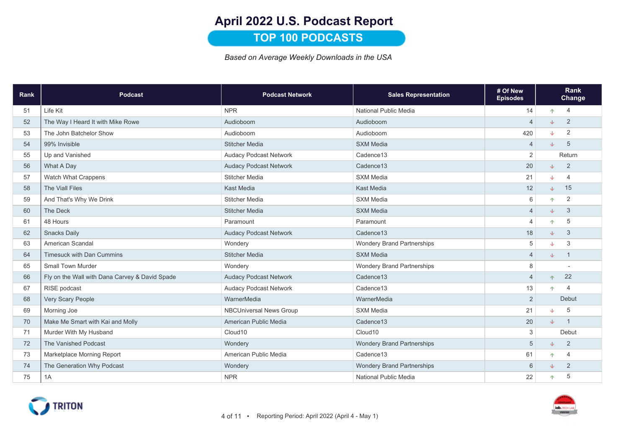#### TOP 100 PODCASTS

| Rank | <b>Podcast</b>                                 | <b>Podcast Network</b>         | <b>Sales Representation</b>       | # Of New<br><b>Episodes</b> |     | Rank<br>Change |
|------|------------------------------------------------|--------------------------------|-----------------------------------|-----------------------------|-----|----------------|
| 51   | Life Kit                                       | <b>NPR</b>                     | National Public Media             | 14                          | 不   | $\overline{4}$ |
| 52   | The Way I Heard It with Mike Rowe              | Audioboom                      | Audioboom                         | $\overline{4}$              | sk. | 2              |
| 53   | The John Batchelor Show                        | Audioboom                      | Audioboom                         | 420                         | Φ   | 2              |
| 54   | 99% Invisible                                  | <b>Stitcher Media</b>          | <b>SXM Media</b>                  | $\overline{4}$              | s.  | 5              |
| 55   | Up and Vanished                                | <b>Audacy Podcast Network</b>  | Cadence <sub>13</sub>             | 2                           |     | Return         |
| 56   | What A Day                                     | <b>Audacy Podcast Network</b>  | Cadence <sub>13</sub>             | 20                          | v.  | $\overline{2}$ |
| 57   | Watch What Crappens                            | <b>Stitcher Media</b>          | <b>SXM Media</b>                  | 21                          | ÷.  | $\overline{4}$ |
| 58   | The Viall Files                                | <b>Kast Media</b>              | <b>Kast Media</b>                 | 12                          | Φ   | 15             |
| 59   | And That's Why We Drink                        | <b>Stitcher Media</b>          | <b>SXM Media</b>                  | 6                           | 个   | 2              |
| 60   | The Deck                                       | <b>Stitcher Media</b>          | <b>SXM Media</b>                  | $\overline{4}$              | Φ   | 3              |
| 61   | 48 Hours                                       | Paramount                      | Paramount                         | $\overline{4}$              | 个   | 5              |
| 62   | <b>Snacks Daily</b>                            | <b>Audacy Podcast Network</b>  | Cadence <sub>13</sub>             | 18                          | sk. | 3              |
| 63   | American Scandal                               | Wondery                        | <b>Wondery Brand Partnerships</b> | $\,$ 5 $\,$                 | Φ   | 3              |
| 64   | <b>Timesuck with Dan Cummins</b>               | <b>Stitcher Media</b>          | <b>SXM Media</b>                  | $\overline{4}$              | sk. | $\overline{1}$ |
| 65   | <b>Small Town Murder</b>                       | Wondery                        | <b>Wondery Brand Partnerships</b> | 8                           |     |                |
| 66   | Fly on the Wall with Dana Carvey & David Spade | <b>Audacy Podcast Network</b>  | Cadence13                         | $\overline{4}$              | 不   | 22             |
| 67   | <b>RISE</b> podcast                            | <b>Audacy Podcast Network</b>  | Cadence <sub>13</sub>             | 13                          | 不   | $\overline{4}$ |
| 68   | Very Scary People                              | WarnerMedia                    | WarnerMedia                       | $\overline{2}$              |     | Debut          |
| 69   | Morning Joe                                    | <b>NBCUniversal News Group</b> | <b>SXM Media</b>                  | 21                          | s.  | 5              |
| 70   | Make Me Smart with Kai and Molly               | American Public Media          | Cadence <sub>13</sub>             | 20                          | sk. | $\overline{1}$ |
| 71   | Murder With My Husband                         | Cloud10                        | Cloud <sub>10</sub>               | 3                           |     | Debut          |
| 72   | The Vanished Podcast                           | Wondery                        | <b>Wondery Brand Partnerships</b> | 5                           | Φ   | 2              |
| 73   | Marketplace Morning Report                     | American Public Media          | Cadence <sub>13</sub>             | 61                          | 不   | $\overline{4}$ |
| 74   | The Generation Why Podcast                     | Wondery                        | <b>Wondery Brand Partnerships</b> | 6                           | sk. | 2              |
| 75   | 1A                                             | <b>NPR</b>                     | <b>National Public Media</b>      | 22                          | 个   | 5              |



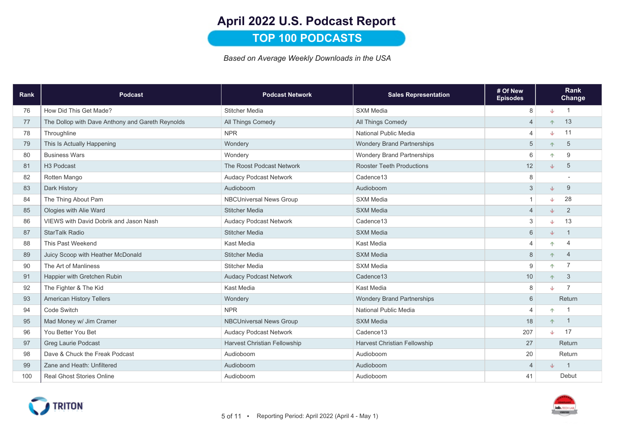### **TOP 100 PODCASTS**

| Rank | <b>Podcast</b>                                   | <b>Podcast Network</b>         | <b>Sales Representation</b>       | # Of New<br><b>Episodes</b> | Rank<br>Change        |
|------|--------------------------------------------------|--------------------------------|-----------------------------------|-----------------------------|-----------------------|
| 76   | How Did This Get Made?                           | <b>Stitcher Media</b>          | <b>SXM Media</b>                  | 8                           | $\overline{1}$<br>sk. |
| 77   | The Dollop with Dave Anthony and Gareth Reynolds | All Things Comedy              | All Things Comedy                 | $\overline{4}$              | 13<br>不               |
| 78   | Throughline                                      | <b>NPR</b>                     | <b>National Public Media</b>      | $\overline{4}$              | 11<br>Φ               |
| 79   | This Is Actually Happening                       | Wondery                        | <b>Wondery Brand Partnerships</b> | 5                           | 5<br>个                |
| 80   | <b>Business Wars</b>                             | Wondery                        | <b>Wondery Brand Partnerships</b> | 6                           | 9<br>个                |
| 81   | H <sub>3</sub> Podcast                           | The Roost Podcast Network      | <b>Rooster Teeth Productions</b>  | 12                          | $\overline{5}$<br>s.  |
| 82   | Rotten Mango                                     | <b>Audacy Podcast Network</b>  | Cadence <sub>13</sub>             | 8                           |                       |
| 83   | Dark History                                     | Audioboom                      | Audioboom                         | $\mathsf 3$                 | 9<br>d.               |
| 84   | The Thing About Pam                              | <b>NBCUniversal News Group</b> | <b>SXM Media</b>                  | $\mathbf{1}$                | 28<br>Φ               |
| 85   | Ologies with Alie Ward                           | <b>Stitcher Media</b>          | <b>SXM Media</b>                  | $\overline{4}$              | $\overline{2}$<br>Φ   |
| 86   | VIEWS with David Dobrik and Jason Nash           | <b>Audacy Podcast Network</b>  | Cadence13                         | 3                           | 13<br>Φ               |
| 87   | <b>StarTalk Radio</b>                            | <b>Stitcher Media</b>          | <b>SXM Media</b>                  | 6                           | Φ<br>$\overline{1}$   |
| 88   | This Past Weekend                                | Kast Media                     | Kast Media                        | $\overline{4}$              | $\overline{4}$<br>个   |
| 89   | Juicy Scoop with Heather McDonald                | <b>Stitcher Media</b>          | <b>SXM Media</b>                  | 8                           | $\overline{4}$<br>个   |
| 90   | The Art of Manliness                             | <b>Stitcher Media</b>          | <b>SXM Media</b>                  | 9                           | $\overline{7}$<br>个   |
| 91   | Happier with Gretchen Rubin                      | <b>Audacy Podcast Network</b>  | Cadence <sub>13</sub>             | 10                          | 3<br>不                |
| 92   | The Fighter & The Kid                            | Kast Media                     | Kast Media                        | 8                           | $\overline{7}$<br>Φ   |
| 93   | <b>American History Tellers</b>                  | Wondery                        | <b>Wondery Brand Partnerships</b> | $\,6\,$                     | Return                |
| 94   | Code Switch                                      | <b>NPR</b>                     | National Public Media             | $\overline{4}$              | $\overline{1}$<br>不   |
| 95   | Mad Money w/ Jim Cramer                          | <b>NBCUniversal News Group</b> | <b>SXM Media</b>                  | 18                          | $\mathbf{1}$<br>不     |
| 96   | You Better You Bet                               | <b>Audacy Podcast Network</b>  | Cadence13                         | 207                         | 17<br>÷.              |
| 97   | <b>Greg Laurie Podcast</b>                       | Harvest Christian Fellowship   | Harvest Christian Fellowship      | 27                          | Return                |
| 98   | Dave & Chuck the Freak Podcast                   | Audioboom                      | Audioboom                         | 20                          | Return                |
| 99   | Zane and Heath: Unfiltered                       | Audioboom                      | Audioboom                         | $\overline{4}$              | $\overline{1}$<br>sk. |
| 100  | <b>Real Ghost Stories Online</b>                 | Audioboom                      | Audioboom                         | 41                          | Debut                 |



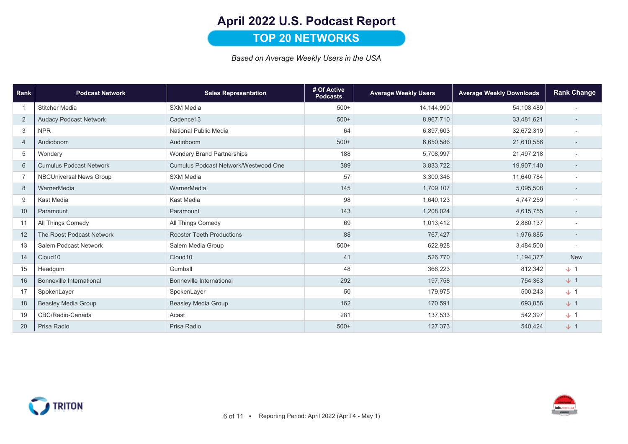### **TOP 20 NETWORKS**

| <b>Rank</b>    | <b>Podcast Network</b>          | <b>Sales Representation</b>          | # Of Active<br><b>Podcasts</b> | <b>Average Weekly Users</b> | <b>Average Weekly Downloads</b> | <b>Rank Change</b>       |
|----------------|---------------------------------|--------------------------------------|--------------------------------|-----------------------------|---------------------------------|--------------------------|
|                | <b>Stitcher Media</b>           | <b>SXM Media</b>                     | $500+$                         | 14,144,990                  | 54,108,489                      | $\overline{\phantom{a}}$ |
| $\overline{2}$ | <b>Audacy Podcast Network</b>   | Cadence13                            | $500+$                         | 8,967,710                   | 33,481,621                      |                          |
| 3              | <b>NPR</b>                      | National Public Media                | 64                             | 6,897,603                   | 32,672,319                      |                          |
| $\overline{4}$ | Audioboom                       | Audioboom                            | $500+$                         | 6,650,586                   | 21,610,556                      |                          |
| 5              | Wondery                         | <b>Wondery Brand Partnerships</b>    | 188                            | 5,708,997                   | 21,497,218                      | $\overline{\phantom{a}}$ |
| 6              | <b>Cumulus Podcast Network</b>  | Cumulus Podcast Network/Westwood One | 389                            | 3,833,722                   | 19,907,140                      |                          |
| $\overline{7}$ | <b>NBCUniversal News Group</b>  | <b>SXM Media</b>                     | 57                             | 3,300,346                   | 11,640,784                      |                          |
| 8              | WarnerMedia                     | WarnerMedia                          | 145                            | 1,709,107                   | 5,095,508                       |                          |
| 9              | Kast Media                      | Kast Media                           | 98                             | 1,640,123                   | 4,747,259                       |                          |
| 10             | Paramount                       | Paramount                            | 143                            | 1,208,024                   | 4,615,755                       |                          |
| 11             | All Things Comedy               | All Things Comedy                    | 69                             | 1,013,412                   | 2,880,137                       |                          |
| 12             | The Roost Podcast Network       | <b>Rooster Teeth Productions</b>     | 88                             | 767,427                     | 1,976,885                       |                          |
| 13             | Salem Podcast Network           | Salem Media Group                    | $500+$                         | 622,928                     | 3,484,500                       |                          |
| 14             | Cloud10                         | Cloud <sub>10</sub>                  | 41                             | 526,770                     | 1,194,377                       | <b>New</b>               |
| 15             | Headgum                         | Gumball                              | 48                             | 366,223                     | 812,342                         | $\downarrow$ 1           |
| 16             | <b>Bonneville International</b> | Bonneville International             | 292                            | 197,758                     | 754,363                         | $\sqrt{1}$               |
| 17             | SpokenLayer                     | SpokenLayer                          | 50                             | 179,975                     | 500,243                         | $\downarrow$ 1           |
| 18             | <b>Beasley Media Group</b>      | <b>Beasley Media Group</b>           | 162                            | 170,591                     | 693,856                         | $\downarrow$ 1           |
| 19             | CBC/Radio-Canada                | Acast                                | 281                            | 137,533                     | 542,397                         | $\downarrow$ 1           |
| 20             | Prisa Radio                     | Prisa Radio                          | $500+$                         | 127,373                     | 540,424                         | $\downarrow$ 1           |



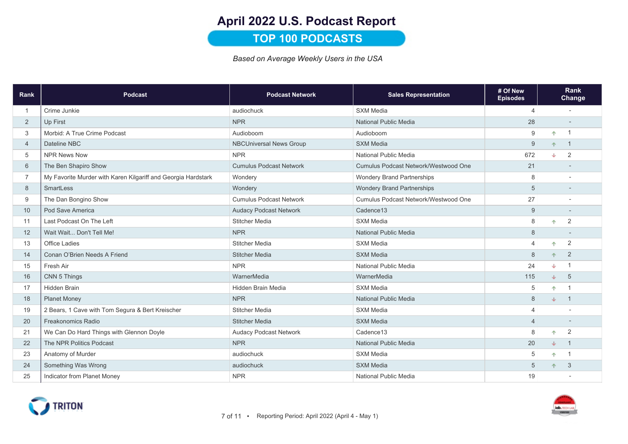### **TOP 100 PODCASTS**

| Rank           | <b>Podcast</b>                                                | <b>Podcast Network</b>         | <b>Sales Representation</b>          | # Of New<br><b>Episodes</b> | Rank<br>Change           |  |
|----------------|---------------------------------------------------------------|--------------------------------|--------------------------------------|-----------------------------|--------------------------|--|
|                | Crime Junkie                                                  | audiochuck                     | <b>SXM Media</b>                     | $\overline{4}$              | $\sim$                   |  |
| $\overline{2}$ | Up First                                                      | <b>NPR</b>                     | <b>National Public Media</b>         | 28                          | $\overline{\phantom{a}}$ |  |
| 3              | Morbid: A True Crime Podcast                                  | Audioboom                      | Audioboom                            | $\boldsymbol{9}$            | $\overline{1}$<br>个      |  |
| $\overline{4}$ | Dateline NBC                                                  | <b>NBCUniversal News Group</b> | <b>SXM Media</b>                     | $\boldsymbol{9}$            | $\overline{1}$<br>个      |  |
| 5              | <b>NPR News Now</b>                                           | <b>NPR</b>                     | National Public Media                | 672                         | 2<br>s.                  |  |
| 6              | The Ben Shapiro Show                                          | <b>Cumulus Podcast Network</b> | Cumulus Podcast Network/Westwood One | 21                          |                          |  |
| $\overline{7}$ | My Favorite Murder with Karen Kilgariff and Georgia Hardstark | Wondery                        | <b>Wondery Brand Partnerships</b>    | 8                           |                          |  |
| 8              | SmartLess                                                     | Wondery                        | <b>Wondery Brand Partnerships</b>    | 5                           |                          |  |
| 9              | The Dan Bongino Show                                          | <b>Cumulus Podcast Network</b> | Cumulus Podcast Network/Westwood One | 27                          |                          |  |
| 10             | Pod Save America                                              | <b>Audacy Podcast Network</b>  | Cadence13                            | 9                           |                          |  |
| 11             | Last Podcast On The Left                                      | <b>Stitcher Media</b>          | <b>SXM Media</b>                     | 8                           | 2<br>个                   |  |
| 12             | Wait Wait Don't Tell Me!                                      | <b>NPR</b>                     | <b>National Public Media</b>         | 8                           |                          |  |
| 13             | <b>Office Ladies</b>                                          | <b>Stitcher Media</b>          | <b>SXM Media</b>                     | $\overline{4}$              | $\overline{c}$<br>个      |  |
| 14             | Conan O'Brien Needs A Friend                                  | <b>Stitcher Media</b>          | <b>SXM Media</b>                     | 8                           | 2<br>个                   |  |
| 15             | Fresh Air                                                     | <b>NPR</b>                     | <b>National Public Media</b>         | 24                          | s.<br>$\overline{1}$     |  |
| 16             | CNN 5 Things                                                  | WarnerMedia                    | WarnerMedia                          | 115                         | 5<br>¢.                  |  |
| 17             | <b>Hidden Brain</b>                                           | Hidden Brain Media             | <b>SXM Media</b>                     | 5                           | $\overline{1}$<br>不      |  |
| 18             | <b>Planet Money</b>                                           | <b>NPR</b>                     | <b>National Public Media</b>         | $\,8\,$                     | $\overline{1}$<br>s.     |  |
| 19             | 2 Bears, 1 Cave with Tom Segura & Bert Kreischer              | <b>Stitcher Media</b>          | <b>SXM Media</b>                     | $\overline{4}$              |                          |  |
| 20             | <b>Freakonomics Radio</b>                                     | <b>Stitcher Media</b>          | <b>SXM Media</b>                     | $\overline{4}$              |                          |  |
| 21             | We Can Do Hard Things with Glennon Doyle                      | <b>Audacy Podcast Network</b>  | Cadence <sub>13</sub>                | 8                           | 2<br>个                   |  |
| 22             | The NPR Politics Podcast                                      | <b>NPR</b>                     | <b>National Public Media</b>         | 20                          | $\overline{1}$<br>s.     |  |
| 23             | Anatomy of Murder                                             | audiochuck                     | <b>SXM Media</b>                     | 5                           | $\overline{1}$<br>不      |  |
| 24             | Something Was Wrong                                           | audiochuck                     | <b>SXM Media</b>                     | 5                           | 3<br>不                   |  |
| 25             | Indicator from Planet Money                                   | <b>NPR</b>                     | <b>National Public Media</b>         | 19                          |                          |  |



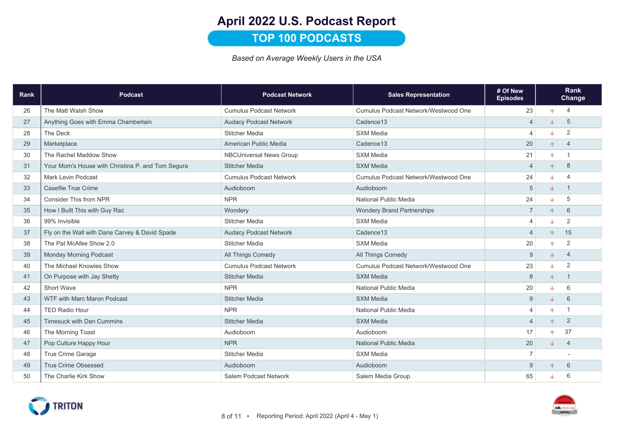### **TOP 100 PODCASTS**

| Rank | <b>Podcast</b>                                    | <b>Podcast Network</b>         | <b>Sales Representation</b>          | # Of New<br><b>Episodes</b> |     | Rank<br>Change |
|------|---------------------------------------------------|--------------------------------|--------------------------------------|-----------------------------|-----|----------------|
| 26   | The Matt Walsh Show                               | <b>Cumulus Podcast Network</b> | Cumulus Podcast Network/Westwood One | 23                          | 不   | $\overline{4}$ |
| 27   | Anything Goes with Emma Chamberlain               | <b>Audacy Podcast Network</b>  | Cadence <sub>13</sub>                | $\overline{4}$              | sk. | $\overline{5}$ |
| 28   | The Deck                                          | <b>Stitcher Media</b>          | <b>SXM Media</b>                     | $\overline{4}$              | Φ   | 2              |
| 29   | Marketplace                                       | American Public Media          | Cadence <sub>13</sub>                | 20                          | 个   | $\overline{4}$ |
| 30   | The Rachel Maddow Show                            | <b>NBCUniversal News Group</b> | <b>SXM Media</b>                     | 21                          | 个   |                |
| 31   | Your Mom's House with Christina P. and Tom Segura | <b>Stitcher Media</b>          | <b>SXM Media</b>                     | $\overline{4}$              | 不   | 8              |
| 32   | Mark Levin Podcast                                | <b>Cumulus Podcast Network</b> | Cumulus Podcast Network/Westwood One | 24                          | s.  | $\overline{4}$ |
| 33   | Casefile True Crime                               | Audioboom                      | Audioboom                            | 5                           | Φ   | $\overline{1}$ |
| 34   | <b>Consider This from NPR</b>                     | <b>NPR</b>                     | <b>National Public Media</b>         | 24                          | Φ   | 5              |
| 35   | How I Built This with Guy Raz                     | Wondery                        | <b>Wondery Brand Partnerships</b>    | $\overline{7}$              | 不   | 6              |
| 36   | 99% Invisible                                     | <b>Stitcher Media</b>          | <b>SXM Media</b>                     | $\overline{4}$              | Φ   | 2              |
| 37   | Fly on the Wall with Dana Carvey & David Spade    | <b>Audacy Podcast Network</b>  | Cadence <sub>13</sub>                | $\overline{4}$              | 不   | 15             |
| 38   | The Pat McAfee Show 2.0                           | <b>Stitcher Media</b>          | <b>SXM Media</b>                     | 20                          | 个   | 2              |
| 39   | <b>Monday Morning Podcast</b>                     | All Things Comedy              | All Things Comedy                    | 9                           | Φ   | $\overline{4}$ |
| 40   | The Michael Knowles Show                          | <b>Cumulus Podcast Network</b> | Cumulus Podcast Network/Westwood One | 23                          | Φ   | 2              |
| 41   | On Purpose with Jay Shetty                        | <b>Stitcher Media</b>          | <b>SXM Media</b>                     | 8                           | 不   | $\overline{1}$ |
| 42   | <b>Short Wave</b>                                 | <b>NPR</b>                     | <b>National Public Media</b>         | 20                          | s.  | 6              |
| 43   | <b>WTF with Marc Maron Podcast</b>                | <b>Stitcher Media</b>          | <b>SXM Media</b>                     | $\boldsymbol{9}$            | Φ   | 6              |
| 44   | <b>TED Radio Hour</b>                             | <b>NPR</b>                     | <b>National Public Media</b>         | 4                           | 个   |                |
| 45   | <b>Timesuck with Dan Cummins</b>                  | <b>Stitcher Media</b>          | <b>SXM Media</b>                     | $\overline{4}$              | 不   | 2              |
| 46   | The Morning Toast                                 | Audioboom                      | Audioboom                            | 17                          | 个   | 37             |
| 47   | Pop Culture Happy Hour                            | <b>NPR</b>                     | <b>National Public Media</b>         | 20                          | J.  | $\overline{4}$ |
| 48   | True Crime Garage                                 | <b>Stitcher Media</b>          | <b>SXM Media</b>                     | $\overline{7}$              |     |                |
| 49   | <b>True Crime Obsessed</b>                        | Audioboom                      | Audioboom                            | 9                           | 个   | 6              |
| 50   | The Charlie Kirk Show                             | <b>Salem Podcast Network</b>   | Salem Media Group                    | 65                          | Φ   | 6              |



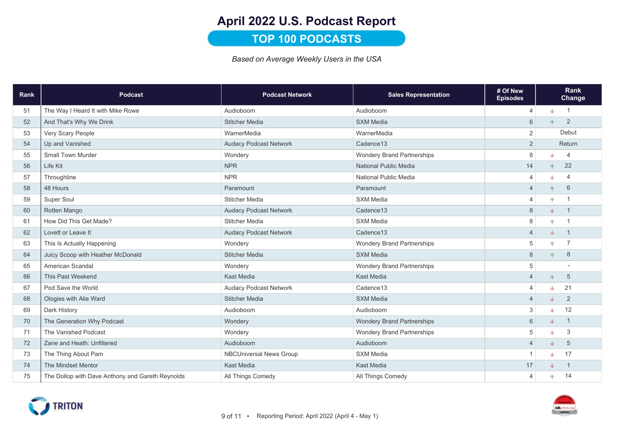### **TOP 100 PODCASTS**

| Rank | <b>Podcast</b>                                   | <b>Podcast Network</b>         | <b>Sales Representation</b>       | # Of New<br><b>Episodes</b> |    | Rank<br>Change |
|------|--------------------------------------------------|--------------------------------|-----------------------------------|-----------------------------|----|----------------|
| 51   | The Way I Heard It with Mike Rowe                | Audioboom                      | Audioboom                         | 4                           | v. | $\overline{1}$ |
| 52   | And That's Why We Drink                          | <b>Stitcher Media</b>          | <b>SXM Media</b>                  | 6                           | 不。 | 2              |
| 53   | Very Scary People                                | WarnerMedia                    | WarnerMedia                       | $\overline{2}$              |    | Debut          |
| 54   | Up and Vanished                                  | <b>Audacy Podcast Network</b>  | Cadence13                         | 2                           |    | Return         |
| 55   | <b>Small Town Murder</b>                         | Wondery                        | <b>Wondery Brand Partnerships</b> | 8                           | Φ  | $\overline{4}$ |
| 56   | Life Kit                                         | <b>NPR</b>                     | National Public Media             | 14                          | 不  | 22             |
| 57   | Throughline                                      | <b>NPR</b>                     | National Public Media             | $\overline{4}$              | Φ  | $\overline{4}$ |
| 58   | 48 Hours                                         | Paramount                      | Paramount                         | $\overline{4}$              | 个  | $\,6\,$        |
| 59   | Super Soul                                       | <b>Stitcher Media</b>          | <b>SXM Media</b>                  | $\overline{4}$              | 个  |                |
| 60   | Rotten Mango                                     | <b>Audacy Podcast Network</b>  | Cadence <sub>13</sub>             | 8                           | Φ  | $\overline{1}$ |
| 61   | How Did This Get Made?                           | Stitcher Media                 | <b>SXM Media</b>                  | 8                           | 不  | -1             |
| 62   | Lovett or Leave It                               | <b>Audacy Podcast Network</b>  | Cadence13                         | $\overline{4}$              | Φ  | $\overline{1}$ |
| 63   | This Is Actually Happening                       | Wondery                        | <b>Wondery Brand Partnerships</b> | $\sqrt{5}$                  | 不  | $\overline{7}$ |
| 64   | Juicy Scoop with Heather McDonald                | <b>Stitcher Media</b>          | <b>SXM Media</b>                  | 8                           | 个  | 8              |
| 65   | American Scandal                                 | Wondery                        | Wondery Brand Partnerships        | 5                           |    |                |
| 66   | This Past Weekend                                | <b>Kast Media</b>              | Kast Media                        | $\overline{4}$              | 不  | $\sqrt{5}$     |
| 67   | Pod Save the World                               | <b>Audacy Podcast Network</b>  | Cadence13                         | 4                           | Φ  | 21             |
| 68   | Ologies with Alie Ward                           | <b>Stitcher Media</b>          | <b>SXM Media</b>                  | $\overline{4}$              | Φ  | 2              |
| 69   | Dark History                                     | Audioboom                      | Audioboom                         | 3                           | Φ  | 12             |
| 70   | The Generation Why Podcast                       | Wondery                        | <b>Wondery Brand Partnerships</b> | $6\phantom{1}$              | Φ  | $\mathbf{1}$   |
| 71   | The Vanished Podcast                             | Wondery                        | <b>Wondery Brand Partnerships</b> | 5                           | Φ  | 3              |
| 72   | Zane and Heath: Unfiltered                       | Audioboom                      | Audioboom                         | $\overline{4}$              | Φ  | 5              |
| 73   | The Thing About Pam                              | <b>NBCUniversal News Group</b> | <b>SXM Media</b>                  | $\mathbf{1}$                | Φ  | 17             |
| 74   | The Mindset Mentor                               | <b>Kast Media</b>              | <b>Kast Media</b>                 | 17                          | Φ  | $\overline{1}$ |
| 75   | The Dollop with Dave Anthony and Gareth Reynolds | All Things Comedy              | All Things Comedy                 | 4                           | 个  | 14             |



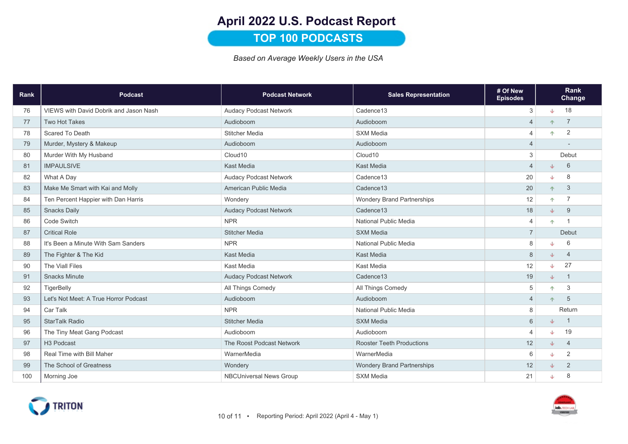### **TOP 100 PODCASTS**

| Rank | <b>Podcast</b>                                | <b>Podcast Network</b>         | <b>Sales Representation</b>       | # Of New<br><b>Episodes</b> |     | Rank<br>Change |
|------|-----------------------------------------------|--------------------------------|-----------------------------------|-----------------------------|-----|----------------|
| 76   | <b>VIEWS with David Dobrik and Jason Nash</b> | <b>Audacy Podcast Network</b>  | Cadence <sub>13</sub>             | 3                           | sk. | 18             |
| 77   | <b>Two Hot Takes</b>                          | Audioboom                      | Audioboom                         | $\overline{4}$              | 不   | $\overline{7}$ |
| 78   | <b>Scared To Death</b>                        | <b>Stitcher Media</b>          | <b>SXM Media</b>                  | 4                           | 个   | 2              |
| 79   | Murder, Mystery & Makeup                      | Audioboom                      | Audioboom                         | $\overline{4}$              |     |                |
| 80   | Murder With My Husband                        | Cloud <sub>10</sub>            | Cloud10                           | 3                           |     | Debut          |
| 81   | <b>IMPAULSIVE</b>                             | <b>Kast Media</b>              | <b>Kast Media</b>                 | $\overline{4}$              | ¢.  | 6              |
| 82   | What A Day                                    | <b>Audacy Podcast Network</b>  | Cadence13                         | 20                          | Ψ   | 8              |
| 83   | Make Me Smart with Kai and Molly              | American Public Media          | Cadence <sub>13</sub>             | 20                          | 不   | 3              |
| 84   | Ten Percent Happier with Dan Harris           | Wondery                        | <b>Wondery Brand Partnerships</b> | 12                          | 不   | $\overline{7}$ |
| 85   | <b>Snacks Daily</b>                           | <b>Audacy Podcast Network</b>  | Cadence13                         | 18                          | v.  | 9              |
| 86   | Code Switch                                   | <b>NPR</b>                     | National Public Media             | 4                           | 个   | -1             |
| 87   | <b>Critical Role</b>                          | <b>Stitcher Media</b>          | <b>SXM Media</b>                  | $\overline{7}$              |     | Debut          |
| 88   | It's Been a Minute With Sam Sanders           | <b>NPR</b>                     | National Public Media             | $\,8\,$                     | Φ   | 6              |
| 89   | The Fighter & The Kid                         | <b>Kast Media</b>              | <b>Kast Media</b>                 | 8                           | v.  | $\overline{4}$ |
| 90   | The Viall Files                               | Kast Media                     | <b>Kast Media</b>                 | 12                          | Ψ   | 27             |
| 91   | <b>Snacks Minute</b>                          | <b>Audacy Podcast Network</b>  | Cadence13                         | 19                          | v.  | $\overline{1}$ |
| 92   | <b>TigerBelly</b>                             | All Things Comedy              | All Things Comedy                 | 5                           | 不   | 3              |
| 93   | Let's Not Meet: A True Horror Podcast         | Audioboom                      | Audioboom                         | $\overline{4}$              | 个   | 5              |
| 94   | Car Talk                                      | <b>NPR</b>                     | National Public Media             | 8                           |     | Return         |
| 95   | <b>StarTalk Radio</b>                         | <b>Stitcher Media</b>          | <b>SXM Media</b>                  | $6\phantom{1}$              | v.  | $\mathbf 1$    |
| 96   | The Tiny Meat Gang Podcast                    | Audioboom                      | Audioboom                         | $\overline{4}$              | v.  | 19             |
| 97   | H3 Podcast                                    | The Roost Podcast Network      | <b>Rooster Teeth Productions</b>  | 12                          | Ψ   | $\overline{4}$ |
| 98   | Real Time with Bill Maher                     | WarnerMedia                    | WarnerMedia                       | 6                           | Φ   | 2              |
| 99   | The School of Greatness                       | Wondery                        | <b>Wondery Brand Partnerships</b> | 12                          | sk. | 2              |
| 100  | Morning Joe                                   | <b>NBCUniversal News Group</b> | <b>SXM Media</b>                  | 21                          | Φ   | 8              |